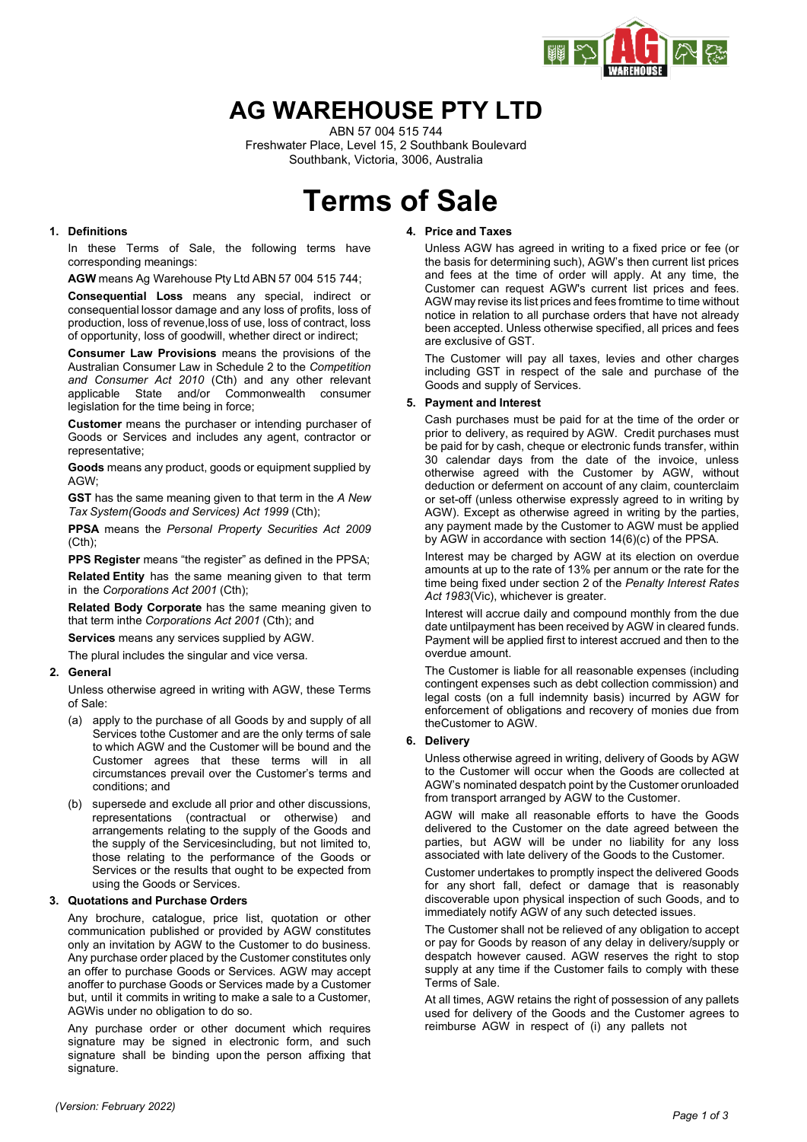

## **AG WAREHOUSE PTY LTD**

ABN 57 004 515 744 Freshwater Place, Level 15, 2 Southbank Boulevard Southbank, Victoria, 3006, Australia

# **Terms of Sale**

## **1. Definitions**

In these Terms of Sale, the following terms have corresponding meanings:

**AGW** means Ag Warehouse Pty Ltd ABN 57 004 515 744;

**Consequential Loss** means any special, indirect or consequential lossor damage and any loss of profits, loss of production, loss of revenue,loss of use, loss of contract, loss of opportunity, loss of goodwill, whether direct or indirect;

**Consumer Law Provisions** means the provisions of the Australian Consumer Law in Schedule 2 to the *Competition and Consumer Act 2010* (Cth) and any other relevant applicable State and/or Commonwealth consumer legislation for the time being in force;

**Customer** means the purchaser or intending purchaser of Goods or Services and includes any agent, contractor or representative;

**Goods** means any product, goods or equipment supplied by AGW;

**GST** has the same meaning given to that term in the *A New Tax System(Goods and Services) Act 1999* (Cth);

**PPSA** means the *Personal Property Securities Act 2009* (Cth);

**PPS Register** means "the register" as defined in the PPSA;

**Related Entity** has the same meaning given to that term in the *Corporations Act 2001* (Cth);

**Related Body Corporate** has the same meaning given to that term inthe *Corporations Act 2001* (Cth); and

**Services** means any services supplied by AGW.

The plural includes the singular and vice versa.

#### **2. General**

Unless otherwise agreed in writing with AGW, these Terms of Sale:

- (a) apply to the purchase of all Goods by and supply of all Services tothe Customer and are the only terms of sale to which AGW and the Customer will be bound and the Customer agrees that these terms will in all circumstances prevail over the Customer's terms and conditions; and
- (b) supersede and exclude all prior and other discussions, representations (contractual or otherwise) and arrangements relating to the supply of the Goods and the supply of the Servicesincluding, but not limited to, those relating to the performance of the Goods or Services or the results that ought to be expected from using the Goods or Services.

#### **3. Quotations and Purchase Orders**

Any brochure, catalogue, price list, quotation or other communication published or provided by AGW constitutes only an invitation by AGW to the Customer to do business. Any purchase order placed by the Customer constitutes only an offer to purchase Goods or Services. AGW may accept anoffer to purchase Goods or Services made by a Customer but, until it commits in writing to make a sale to a Customer, AGWis under no obligation to do so.

Any purchase order or other document which requires signature may be signed in electronic form, and such signature shall be binding upon the person affixing that signature.

## **4. Price and Taxes**

Unless AGW has agreed in writing to a fixed price or fee (or the basis for determining such), AGW's then current list prices and fees at the time of order will apply. At any time, the Customer can request AGW's current list prices and fees. AGWmay revise its list prices and fees fromtime to time without notice in relation to all purchase orders that have not already been accepted. Unless otherwise specified, all prices and fees are exclusive of GST.

The Customer will pay all taxes, levies and other charges including GST in respect of the sale and purchase of the Goods and supply of Services.

## **5. Payment and Interest**

Cash purchases must be paid for at the time of the order or prior to delivery, as required by AGW. Credit purchases must be paid for by cash, cheque or electronic funds transfer, within 30 calendar days from the date of the invoice, unless otherwise agreed with the Customer by AGW, without deduction or deferment on account of any claim, counterclaim or set-off (unless otherwise expressly agreed to in writing by AGW). Except as otherwise agreed in writing by the parties, any payment made by the Customer to AGW must be applied by AGW in accordance with section 14(6)(c) of the PPSA.

Interest may be charged by AGW at its election on overdue amounts at up to the rate of 13% per annum or the rate for the time being fixed under section 2 of the *Penalty Interest Rates Act 1983*(Vic), whichever is greater.

Interest will accrue daily and compound monthly from the due date untilpayment has been received by AGW in cleared funds. Payment will be applied first to interest accrued and then to the overdue amount.

The Customer is liable for all reasonable expenses (including contingent expenses such as debt collection commission) and legal costs (on a full indemnity basis) incurred by AGW for enforcement of obligations and recovery of monies due from theCustomer to AGW.

## **6. Delivery**

Unless otherwise agreed in writing, delivery of Goods by AGW to the Customer will occur when the Goods are collected at AGW's nominated despatch point by the Customer orunloaded from transport arranged by AGW to the Customer.

AGW will make all reasonable efforts to have the Goods delivered to the Customer on the date agreed between the parties, but AGW will be under no liability for any loss associated with late delivery of the Goods to the Customer.

Customer undertakes to promptly inspect the delivered Goods for any short fall, defect or damage that is reasonably discoverable upon physical inspection of such Goods, and to immediately notify AGW of any such detected issues.

The Customer shall not be relieved of any obligation to accept or pay for Goods by reason of any delay in delivery/supply or despatch however caused. AGW reserves the right to stop supply at any time if the Customer fails to comply with these Terms of Sale.

At all times, AGW retains the right of possession of any pallets used for delivery of the Goods and the Customer agrees to reimburse AGW in respect of (i) any pallets not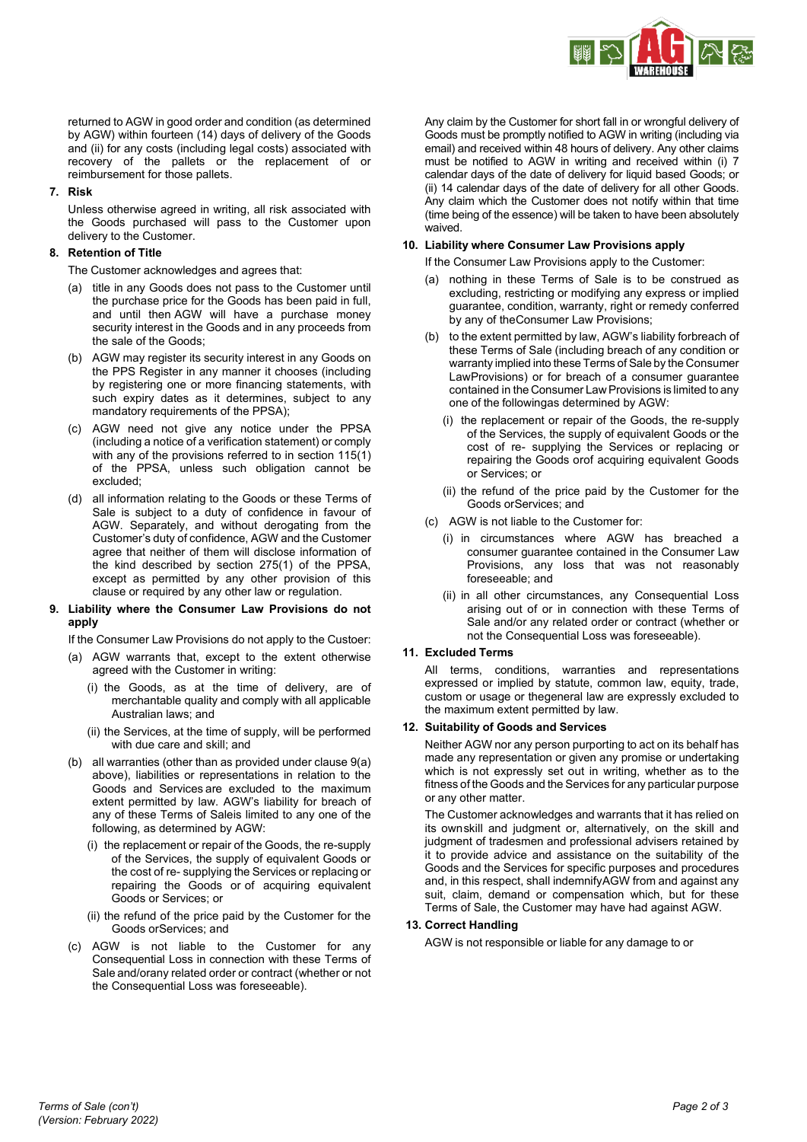

returned to AGW in good order and condition (as determined by AGW) within fourteen (14) days of delivery of the Goods and (ii) for any costs (including legal costs) associated with recovery of the pallets or the replacement of or reimbursement for those pallets.

## **7. Risk**

Unless otherwise agreed in writing, all risk associated with the Goods purchased will pass to the Customer upon delivery to the Customer.

## **8. Retention of Title**

The Customer acknowledges and agrees that:

- (a) title in any Goods does not pass to the Customer until the purchase price for the Goods has been paid in full, and until then AGW will have a purchase money security interest in the Goods and in any proceeds from the sale of the Goods;
- (b) AGW may register its security interest in any Goods on the PPS Register in any manner it chooses (including by registering one or more financing statements, with such expiry dates as it determines, subject to any mandatory requirements of the PPSA);
- (c) AGW need not give any notice under the PPSA (including a notice of a verification statement) or comply with any of the provisions referred to in section 115(1) of the PPSA, unless such obligation cannot be excluded;
- (d) all information relating to the Goods or these Terms of Sale is subject to a duty of confidence in favour of AGW. Separately, and without derogating from the Customer's duty of confidence, AGW and the Customer agree that neither of them will disclose information of the kind described by section 275(1) of the PPSA, except as permitted by any other provision of this clause or required by any other law or regulation.

## **9. Liability where the Consumer Law Provisions do not apply**

If the Consumer Law Provisions do not apply to the Custoer:

- (a) AGW warrants that, except to the extent otherwise agreed with the Customer in writing:
	- (i) the Goods, as at the time of delivery, are of merchantable quality and comply with all applicable Australian laws; and
	- (ii) the Services, at the time of supply, will be performed with due care and skill; and
- (b) all warranties (other than as provided under clause 9(a) above), liabilities or representations in relation to the Goods and Services are excluded to the maximum extent permitted by law. AGW's liability for breach of any of these Terms of Saleis limited to any one of the following, as determined by AGW:
	- (i) the replacement or repair of the Goods, the re-supply of the Services, the supply of equivalent Goods or the cost of re- supplying the Services or replacing or repairing the Goods or of acquiring equivalent Goods or Services; or
	- (ii) the refund of the price paid by the Customer for the Goods orServices; and
- (c) AGW is not liable to the Customer for any Consequential Loss in connection with these Terms of Sale and/orany related order or contract (whether or not the Consequential Loss was foreseeable).

Any claim by the Customer for short fall in or wrongful delivery of Goods must be promptly notified to AGW in writing (including via email) and received within 48 hours of delivery. Any other claims must be notified to AGW in writing and received within (i) 7 calendar days of the date of delivery for liquid based Goods; or (ii) 14 calendar days of the date of delivery for all other Goods. Any claim which the Customer does not notify within that time (time being of the essence) will be taken to have been absolutely waived.

## **10. Liability where Consumer Law Provisions apply**

If the Consumer Law Provisions apply to the Customer:

- (a) nothing in these Terms of Sale is to be construed as excluding, restricting or modifying any express or implied guarantee, condition, warranty, right or remedy conferred by any of theConsumer Law Provisions;
- (b) to the extent permitted by law, AGW's liability forbreach of these Terms of Sale (including breach of any condition or warranty implied into these Terms of Sale by the Consumer LawProvisions) or for breach of a consumer guarantee contained in the Consumer Law Provisions is limited to any one of the followingas determined by AGW:
	- (i) the replacement or repair of the Goods, the re-supply of the Services, the supply of equivalent Goods or the cost of re- supplying the Services or replacing or repairing the Goods orof acquiring equivalent Goods or Services; or
	- (ii) the refund of the price paid by the Customer for the Goods orServices; and
- (c) AGW is not liable to the Customer for:
	- (i) in circumstances where AGW has breached a consumer guarantee contained in the Consumer Law Provisions, any loss that was not reasonably foreseeable; and
	- (ii) in all other circumstances, any Consequential Loss arising out of or in connection with these Terms of Sale and/or any related order or contract (whether or not the Consequential Loss was foreseeable).

## **11. Excluded Terms**

All terms, conditions, warranties and representations expressed or implied by statute, common law, equity, trade, custom or usage or thegeneral law are expressly excluded to the maximum extent permitted by law.

#### **12. Suitability of Goods and Services**

Neither AGW nor any person purporting to act on its behalf has made any representation or given any promise or undertaking which is not expressly set out in writing, whether as to the fitness of the Goods and the Services for any particular purpose or any other matter.

The Customer acknowledges and warrants that it has relied on its ownskill and judgment or, alternatively, on the skill and judgment of tradesmen and professional advisers retained by it to provide advice and assistance on the suitability of the Goods and the Services for specific purposes and procedures and, in this respect, shall indemnifyAGW from and against any suit, claim, demand or compensation which, but for these Terms of Sale, the Customer may have had against AGW.

## **13. Correct Handling**

AGW is not responsible or liable for any damage to or